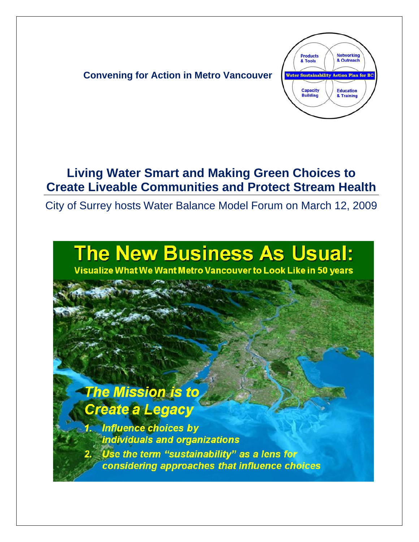

## **Living Water Smart and Making Green Choices to Create Liveable Communities and Protect Stream Health**

City of Surrey hosts Water Balance Model Forum on March 12, 2009

# **The New Business As Usual:**

Visualize What We Want Metro Vancouver to Look Like in 50 years

## **The Mission is to** Create a Legacy

**Influence choices by** individuals and organizations Use the term "sustainability" as a lens for considering approaches that influence choices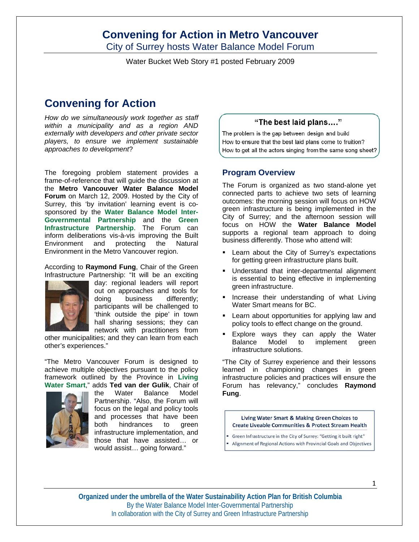City of Surrey hosts Water Balance Model Forum

Water Bucket Web Story #1 posted February 2009

## **Convening for Action**

*How do we simultaneously work together as staff within a municipality and as a region AND externally with developers and other private sector players, to ensure we implement sustainable approaches to development*?

The foregoing problem statement provides a frame-of-reference that will guide the discussion at the **Metro Vancouver Water Balance Model Forum** on March 12, 2009. Hosted by the City of Surrey, this 'by invitation' learning event is cosponsored by the **Water Balance Model Inter-Governmental Partnership** and the **Green Infrastructure Partnership**. The Forum can inform deliberations vis-à-vis improving the Built Environment and protecting the Natural Environment in the Metro Vancouver region.

According to **Raymond Fung**, Chair of the Green Infrastructure Partnership: "It will be an exciting



day: regional leaders will report out on approaches and tools for doing business differently; participants will be challenged to 'think outside the pipe' in town hall sharing sessions; they can network with practitioners from

other municipalities; and they can learn from each other's experiences."

"The Metro Vancouver Forum is designed to achieve multiple objectives pursuant to the policy framework outlined by the Province in **Living Water Smart**," adds **Ted van der Gulik**, Chair of



the Water Balance Model Partnership. "Also, the Forum will focus on the legal and policy tools and processes that have been both hindrances to green infrastructure implementation, and those that have assisted… or would assist… going forward."

#### "The best laid plans...."

The problem is the gap between design and build How to ensure that the best laid plans come to fruition? How to get all the actors singing from the same song sheet?

#### **Program Overview**

The Forum is organized as two stand-alone yet connected parts to achieve two sets of learning outcomes: the morning session will focus on HOW green infrastructure is being implemented in the City of Surrey; and the afternoon session will focus on HOW the **Water Balance Model** supports a regional team approach to doing business differently. Those who attend will:

- Learn about the City of Surrey's expectations for getting green infrastructure plans built.
- **Understand that inter-departmental alignment** is essential to being effective in implementing green infrastructure.
- **Increase their understanding of what Living** Water Smart means for BC.
- Learn about opportunities for applying law and policy tools to effect change on the ground.
- Explore ways they can apply the Water Balance Model to implement green infrastructure solutions.

"The City of Surrey experience and their lessons learned in championing changes in green infrastructure policies and practices will ensure the Forum has relevancy," concludes **Raymond Fung**.

Living Water Smart & Making Green Choices to **Create Liveable Communities & Protect Stream Health** 

- Green Infrastructure in the City of Surrey: "Getting it built right"
- Alignment of Regional Actions with Provincial Goals and Objectives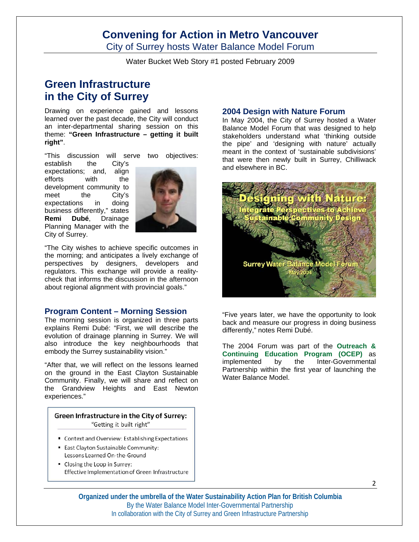City of Surrey hosts Water Balance Model Forum

Water Bucket Web Story #1 posted February 2009

## **Green Infrastructure in the City of Surrey**

Drawing on experience gained and lessons learned over the past decade, the City will conduct an inter-departmental sharing session on this theme: **"Green Infrastructure – getting it built right"**.

"This discussion will serve two objectives:

establish the City's expectations; and, align efforts with the development community to meet the City's expectations in doing business differently," states **Remi Dubé**, Drainage Planning Manager with the City of Surrey.



"The City wishes to achieve specific outcomes in the morning; and anticipates a lively exchange of perspectives by designers, developers and regulators. This exchange will provide a realitycheck that informs the discussion in the afternoon about regional alignment with provincial goals."

#### **Program Content – Morning Session**

The morning session is organized in three parts explains Remi Dubé: "First, we will describe the evolution of drainage planning in Surrey. We will also introduce the key neighbourhoods that embody the Surrey sustainability vision."

"After that, we will reflect on the lessons learned on the ground in the East Clayton Sustainable Community. Finally, we will share and reflect on the Grandview Heights and East Newton experiences."

#### Green Infrastructure in the City of Surrey: "Getting it built right"

- Context and Overview: Establishing Expectations
- East Clayton Sustainable Community: Lessons Learned On-the-Ground
- " Closing the Loop in Surrey: Effective Implementation of Green Infrastructure

#### **2004 Design with Nature Forum**

In May 2004, the City of Surrey hosted a Water Balance Model Forum that was designed to help stakeholders understand what 'thinking outside the pipe' and 'designing with nature' actually meant in the context of 'sustainable subdivisions' that were then newly built in Surrey, Chilliwack and elsewhere in BC.



"Five years later, we have the opportunity to look back and measure our progress in doing business differently," notes Remi Dubé.

The 2004 Forum was part of the **Outreach & Continuing Education Program (OCEP)** as implemented by the Inter-Governmental Partnership within the first year of launching the Water Balance Model.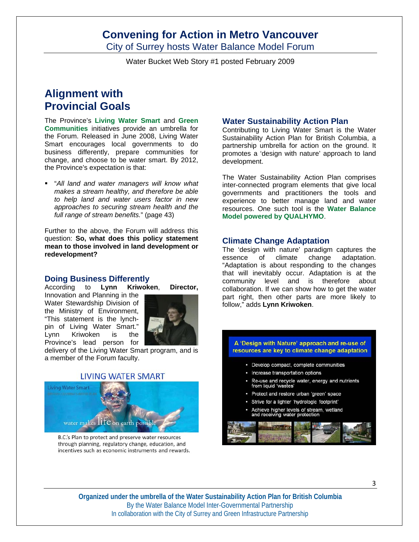City of Surrey hosts Water Balance Model Forum

Water Bucket Web Story #1 posted February 2009

## **Alignment with Provincial Goals**

The Province's **Living Water Smart** and **Green Communities** initiatives provide an umbrella for the Forum. Released in June 2008, Living Water Smart encourages local governments to do business differently, prepare communities for change, and choose to be water smart. By 2012, the Province's expectation is that:

 "*All land and water managers will know what makes a stream healthy, and therefore be able to help land and water users factor in new approaches to securing stream health and the full range of stream benefits.*" (page 43)

Further to the above, the Forum will address this question: **So, what does this policy statement mean to those involved in land development or redevelopment?** 

#### **Doing Business Differently**

According to **Lynn Kriwoken**, **Director,**

Innovation and Planning in the Water Stewardship Division of the Ministry of Environment, "This statement is the lynchpin of Living Water Smart." Lynn Kriwoken is the Province's lead person for



delivery of the Living Water Smart program, and is a member of the Forum faculty.

#### **LIVING WATER SMART**



B.C.'s Plan to protect and preserve water resources through planning, regulatory change, education, and incentives such as economic instruments and rewards.

#### **Water Sustainability Action Plan**

Contributing to Living Water Smart is the Water Sustainability Action Plan for British Columbia, a partnership umbrella for action on the ground. It promotes a 'design with nature' approach to land development.

The Water Sustainability Action Plan comprises inter-connected program elements that give local governments and practitioners the tools and experience to better manage land and water resources. One such tool is the **Water Balance Model powered by QUALHYMO**.

#### **Climate Change Adaptation**

The 'design with nature' paradigm captures the essence of climate change adaptation. "Adaptation is about responding to the changes that will inevitably occur. Adaptation is at the community level and is therefore about collaboration. If we can show how to get the water part right, then other parts are more likely to follo*w*," adds **Lynn Kriwoken**.

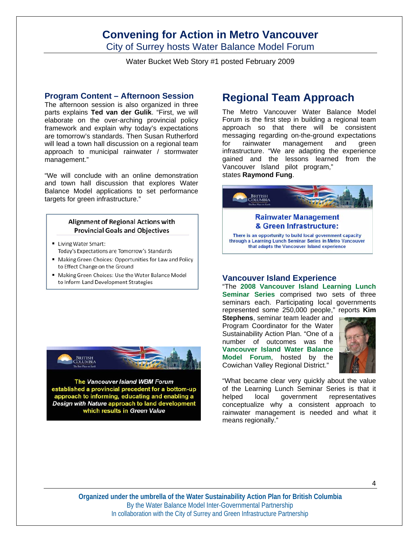City of Surrey hosts Water Balance Model Forum

Water Bucket Web Story #1 posted February 2009

#### **Program Content – Afternoon Session**

The afternoon session is also organized in three parts explains **Ted van der Gulik**. "First, we will elaborate on the over-arching provincial policy framework and explain why today's expectations are tomorrow's standards. Then Susan Rutherford will lead a town hall discussion on a regional team approach to municipal rainwater / stormwater management."

"We will conclude with an online demonstration and town hall discussion that explores Water Balance Model applications to set performance targets for green infrastructure."

#### Alignment of Regional Actions with **Provincial Goals and Objectives**

- **Living Water Smart:** Today's Expectations are Tomorrow's Standards
- " Making Green Choices: Opportunities for Law and Policy to Effect Change on the Ground
- " Making Green Choices: Use the Water Balance Model to Inform Land Development Strategies



The Vancouver Island WBM Forum established a provincial precedent for a bottom-up approach to informing, educating and enabling a Design with Nature approach to land development<br>which results in Green Value

## **Regional Team Approach**

The Metro Vancouver Water Balance Model Forum is the first step in building a regional team approach so that there will be consistent messaging regarding on-the-ground expectations for rainwater management and green infrastructure. "We are adapting the experience gained and the lessons learned from the Vancouver Island pilot program," states **Raymond Fung**.



#### **Vancouver Island Experience**

"The **2008 Vancouver Island Learning Lunch Seminar Series** comprised two sets of three seminars each. Participating local governments represented some 250,000 people," reports **Kim** 

**Stephens**, seminar team leader and Program Coordinator for the Water Sustainability Action Plan. "One of a number of outcomes was the **Vancouver Island Water Balance Model Forum**, hosted by the Cowichan Valley Regional District."



"What became clear very quickly about the value of the Learning Lunch Seminar Series is that it helped local government representatives conceptualize why a consistent approach to rainwater management is needed and what it means regionally."